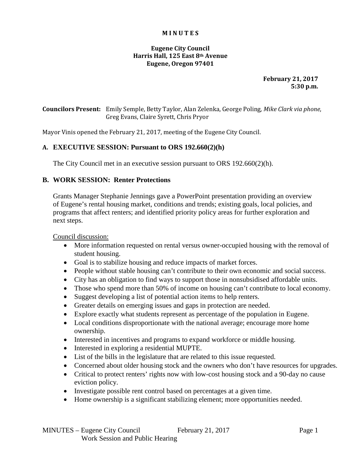#### **M I N U T E S**

### **Eugene City Council Harris Hall, 125 East 8th Avenue Eugene, Oregon 97401**

**February 21, 2017 5:30 p.m.**

**Councilors Present:** Emily Semple, Betty Taylor, Alan Zelenka, George Poling, *Mike Clark via phone*, Greg Evans, Claire Syrett, Chris Pryor

Mayor Vinis opened the February 21, 2017, meeting of the Eugene City Council.

# **A. EXECUTIVE SESSION: Pursuant to ORS 192.660(2)(h)**

The City Council met in an executive session pursuant to ORS 192.660(2)(h).

# **B. WORK SESSION: Renter Protections**

Grants Manager Stephanie Jennings gave a PowerPoint presentation providing an overview of Eugene's rental housing market, conditions and trends; existing goals, local policies, and programs that affect renters; and identified priority policy areas for further exploration and next steps.

Council discussion:

- More information requested on rental versus owner-occupied housing with the removal of student housing.
- Goal is to stabilize housing and reduce impacts of market forces.
- People without stable housing can't contribute to their own economic and social success.
- City has an obligation to find ways to support those in nonsubsidised affordable units.
- Those who spend more than 50% of income on housing can't contribute to local economy.
- Suggest developing a list of potential action items to help renters.
- Greater details on emerging issues and gaps in protection are needed.
- Explore exactly what students represent as percentage of the population in Eugene.
- Local conditions disproportionate with the national average; encourage more home ownership.
- Interested in incentives and programs to expand workforce or middle housing.
- Interested in exploring a residential MUPTE.
- List of the bills in the legislature that are related to this issue requested.
- Concerned about older housing stock and the owners who don't have resources for upgrades.
- Critical to protect renters' rights now with low-cost housing stock and a 90-day no cause eviction policy.
- Investigate possible rent control based on percentages at a given time.
- Home ownership is a significant stabilizing element; more opportunities needed.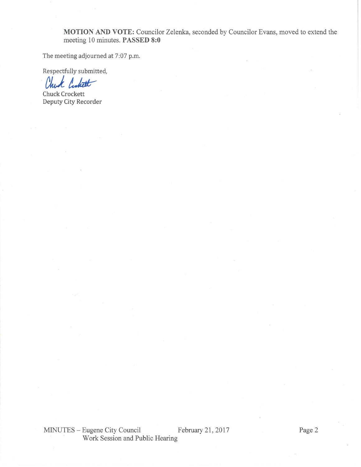MOTION AND VOTE: Councilor Zelenka, seconded by Councilor Evans, moved to extend the meeting 10 minutes. PASSED 8:0

The meeting adjourned at 7:07 p.m.

Respectfully submitted,

Chuck Custott

Chuck Crockett Deputy City Recorder

MINUTES - Eugene City Council February 21, 2017 Work Session and Public Hearing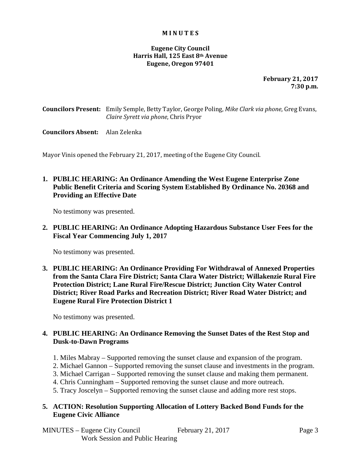#### **M I N U T E S**

### **Eugene City Council Harris Hall, 125 East 8th Avenue Eugene, Oregon 97401**

**February 21, 2017 7:30 p.m.**

**Councilors Present:** Emily Semple, Betty Taylor, George Poling, *Mike Clark via phone*, Greg Evans, *Claire Syrett via phone*, Chris Pryor

#### **Councilors Absent:** Alan Zelenka

Mayor Vinis opened the February 21, 2017, meeting of the Eugene City Council.

# **1. PUBLIC HEARING: An Ordinance Amending the West Eugene Enterprise Zone Public Benefit Criteria and Scoring System Established By Ordinance No. 20368 and Providing an Effective Date**

No testimony was presented.

**2. PUBLIC HEARING: An Ordinance Adopting Hazardous Substance User Fees for the Fiscal Year Commencing July 1, 2017**

No testimony was presented.

**3. PUBLIC HEARING: An Ordinance Providing For Withdrawal of Annexed Properties from the Santa Clara Fire District; Santa Clara Water District; Willakenzie Rural Fire Protection District; Lane Rural Fire/Rescue District; Junction City Water Control District; River Road Parks and Recreation District; River Road Water District; and Eugene Rural Fire Protection District 1**

No testimony was presented.

# **4. PUBLIC HEARING: An Ordinance Removing the Sunset Dates of the Rest Stop and Dusk-to-Dawn Programs**

- 1. Miles Mabray Supported removing the sunset clause and expansion of the program.
- 2. Michael Gannon Supported removing the sunset clause and investments in the program.
- 3. Michael Carrigan Supported removing the sunset clause and making them permanent.
- 4. Chris Cunningham Supported removing the sunset clause and more outreach.
- 5. Tracy Joscelyn Supported removing the sunset clause and adding more rest stops.

### **5. ACTION: Resolution Supporting Allocation of Lottery Backed Bond Funds for the Eugene Civic Alliance**

MINUTES – Eugene City Council February 21, 2017 Page 3 Work Session and Public Hearing